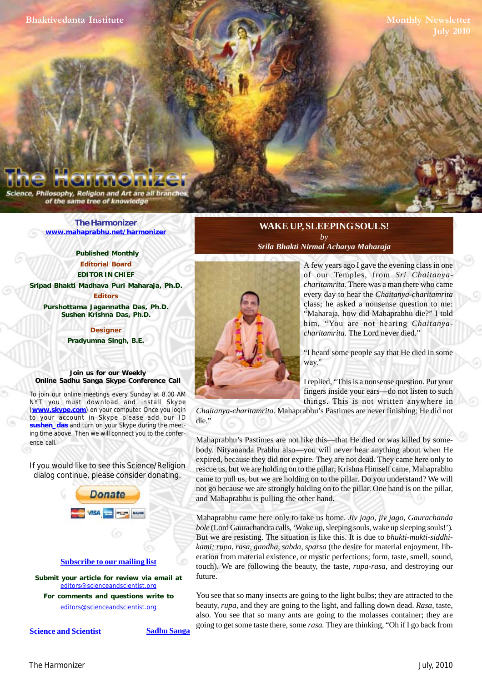Philosophy, Religion and Art are all bra of the same tree of knowledge

> **[The Harmonizer](http://www.mahaprabhu.net/harmonizer) www.mahaprabhu.net/harmonizer**

> > **Published Monthly Editorial Board EDITOR IN CHIEF**

**[Sripad Bhakti Madhava Puri Maharaja, Ph.D.](http://groups.google.co.in/group/Online_Sadhu_Sanga/web/affectionate-guardians)**

**Editors Purshottama Jagannatha Das, Ph.D. Sushen Krishna Das, Ph.D.**

> **Designer Pradyumna Singh, B.E.**

**Join us for our Weekly Online Sadhu Sanga Skype Conference Call**

To join our online meetings every Sunday at 8.00 AM NYT you must download and install Skype (**www.skype.com**) on your computer. Once you login to your account in Skype please add our ID **sushen\_das** and turn on your Skype during the meeting time above. Then we will connect you to the conference call.

If you would like to see this Science/Religion dialog continue, please consider donating.



**Submit your article for review via email at** editors@scienceandscientist.org

**For comments and questions write to** editors@scienceandscientist.org

**WAKE UP, SLEEPING SOULS!** *by Srila Bhakti Nirmal Acharya Maharaja*



 . class; he asked a nonsense question to me: A few years ago I gave the evening class in one of our Temples, from *Sri Chaitanyacharitamrita.* There was a man there who came every day to hear the *Chaitanya-charitamrita* "Maharaja, how did Mahaprabhu die?" I told him, "You are not hearing *Chaitanyacharitamrita.* The Lord never died."

"I heard some people say that He died in some way."

I replied, "This is a nonsense question. Put your fingers inside your ears—do not listen to such things. This is not written anywhere in

*Chaitanya-charitamrita.* Mahaprabhu's Pastimes are never finishing; He did not die."

Mahaprabhu's Pastimes are not like this—that He died or was killed by somebody. Nityananda Prabhu also—you will never hear anything about when He expired, because they did not expire. They are not dead. They came here only to rescue us, but we are holding on to the pillar; Krishna Himself came, Mahaprabhu came to pull us, but we are holding on to the pillar. Do you understand? We will not go because we are strongly holding on to the pillar. One hand is on the pillar, and Mahaprabhu is pulling the other hand.

Mahaprabhu came here only to take us home. *Jiv jago, jiv jago, Gaurachanda bole* (Lord Gaurachandra calls, 'Wake up, sleeping souls, wake up sleeping souls!')*.* But we are resisting. The situation is like this. It is due to *bhukti-mukti-siddhikami; rupa, rasa, gandha, sabda, sparsa* (the desire for material enjoyment, liberation from material existence, or mystic perfections; form, taste, smell, sound, touch). We are following the beauty, the taste, *rupa-rasa,* and destroying our future.

You see that so many insects are going to the light bulbs; they are attracted to the beauty, *rupa,* and they are going to the light, and falling down dead. *Rasa,* taste, also. You see that so many ants are going to the molasses container; they are going to get some taste there, some *rasa.* They are thinking, "Oh if I go back from

**<u>Science and Scientist</u> Sadhu Sanga**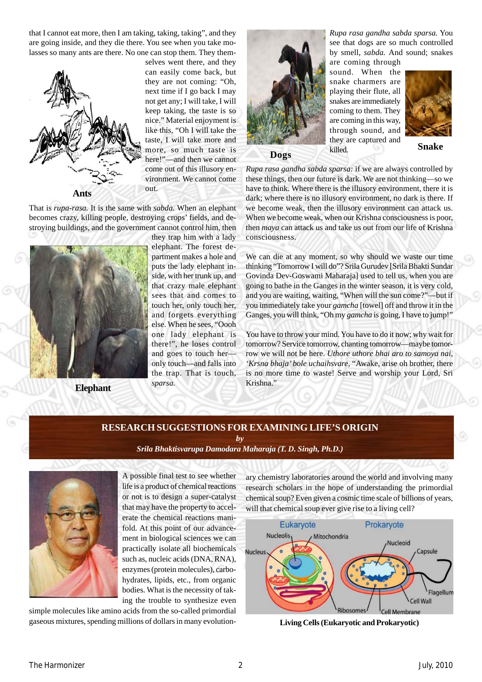that I cannot eat more, then I am taking, taking, taking", and they are going inside, and they die there. You see when you take molasses so many ants are there. No one can stop them. They them-



selves went there, and they can easily come back, but they are not coming: "Oh, next time if I go back I may not get any; I will take, I will keep taking, the taste is so nice." Material enjoyment is like this, "Oh I will take the taste, I will take more and more, so much taste is here!"—and then we cannot come out of this illusory environment. We cannot come out.

That is *rupa-rasa.* It is the same with *sabda.* When an elephant becomes crazy, killing people, destroying crops' fields, and destroying buildings, and the government cannot control him, then



**Elephant**

they trap him with a lady elephant. The forest department makes a hole and puts the lady elephant inside, with her trunk up, and that crazy male elephant sees that and comes to touch her, only touch her, and forgets everything else. When he sees, "Oooh one lady elephant is there!", he loses control and goes to touch her only touch—and falls into the trap. That is touch, *sparsa.*



**Dogs**

*Rupa rasa gandha sabda sparsa.* You see that dogs are so much controlled by smell, *sabda.* And sound; snakes

are coming through sound. When the snake charmers are playing their flute, all snakes are immediately coming to them. They are coming in this way, through sound, and they are captured and killed.



**Snake**

*Rupa rasa gandha sabda sparsa:* if we are always controlled by these things, then our future is dark. We are not thinking—so we have to think. Where there is the illusory environment, there it is dark; where there is no illusory environment, no dark is there. If we become weak, then the illusory environment can attack us. When we become weak, when our Krishna consciousness is poor, then *maya* can attack us and take us out from our life of Krishna consciousness.

We can die at any moment, so why should we waste our time thinking "Tomorrow I will do"? Srila Gurudev [Srila Bhakti Sundar Govinda Dev-Goswami Maharaja] used to tell us, when you are going to bathe in the Ganges in the winter season, it is very cold, and you are waiting, waiting, "When will the sun come?"—but if you immediately take your *gamcha* [towel] off and throw it in the Ganges, you will think, "Oh my *gamcha* is going, I have to jump!"

You have to throw your mind. You have to do it now; why wait for tomorrow? Service tomorrow, chanting tomorrow—maybe tomorrow we will not be here. *Uthore uthore bhai aro to samoya nai, 'Krsna bhaja' bole uchaihsvare,* "Awake, arise oh brother, there is no more time to waste! Serve and worship your Lord, Sri Krishna."

# **RESEARCH SUGGESTIONS FOR EXAMINING LIFE'S ORIGIN**

*by*

*[Srila Bhaktisvarupa Damodara Maharaja \(T. D. Singh, Ph.D.\)](http://groups.google.co.in/group/Online_Sadhu_Sanga/web/affectionate-guardians)*



A possible final test to see whether life is a product of chemical reactions or not is to design a super-catalyst that may have the property to accelerate the chemical reactions manifold. At this point of our advancement in biological sciences we can practically isolate all biochemicals such as, nucleic acids (DNA, RNA), enzymes (protein molecules), carbohydrates, lipids, etc., from organic bodies. What is the necessity of taking the trouble to synthesize even

simple molecules like amino acids from the so-called primordial gaseous mixtures, spending millions of dollars in many evolutionary chemistry laboratories around the world and involving many research scholars in the hope of understanding the primordial chemical soup? Even given a cosmic time scale of billions of years, will that chemical soup ever give rise to a living cell?



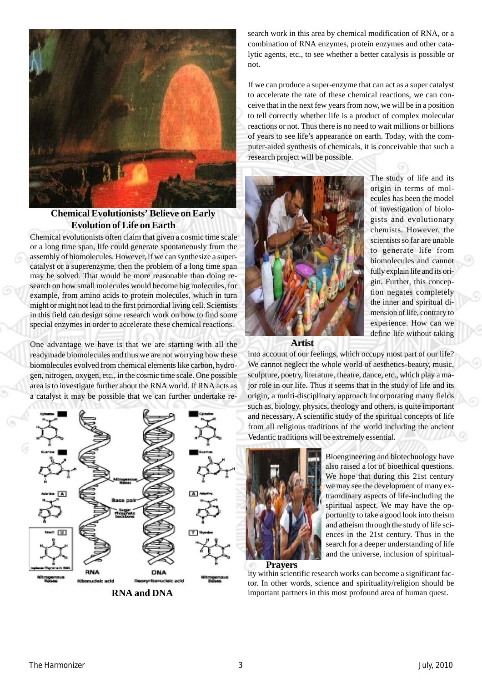

**Chemical Evolutionists' Believe on Early Evolution of Life on Earth**

Chemical evolutionists often claim that given a cosmic time scale or a long time span, life could generate spontaneously from the assembly of biomolecules. However, if we can synthesize a supercatalyst or a superenzyme, then the problem of a long time span may be solved. That would be more reasonable than doing research on how small molecules would become big molecules, for example, from amino acids to protein molecules, which in turn might or might not lead to the first primordial living cell. Scientists in this field can design some research work on how to find some special enzymes in order to accelerate these chemical reactions.

One advantage we have is that we are starting with all the readymade biomolecules and thus we are not worrying how these biomolecules evolved from chemical elements like carbon, hydrogen, nitrogen, oxygen, etc., in the cosmic time scale. One possible area is to investigate further about the RNA world. If RNA acts as a catalyst it may be possible that we can further undertake re-



**RNA and DNA**

search work in this area by chemical modification of RNA, or a combination of RNA enzymes, protein enzymes and other catalytic agents, etc., to see whether a better catalysis is possible or not.

If we can produce a super-enzyme that can act as a super catalyst to accelerate the rate of these chemical reactions, we can conceive that in the next few years from now, we will be in a position to tell correctly whether life is a product of complex molecular reactions or not. Thus there is no need to wait millions or billions of years to see life's appearance on earth. Today, with the computer-aided synthesis of chemicals, it is conceivable that such a research project will be possible.



The study of life and its origin in terms of molecules has been the model of investigation of biologists and evolutionary chemists. However, the scientists so far are unable to generate life from biomolecules and cannot fully explain life and its origin. Further, this conception negates completely the inner and spiritual dimension of life, contrary to experience. How can we define life without taking



into account of our feelings, which occupy most part of our life? We cannot neglect the whole world of aesthetics-beauty, music, sculpture, poetry, literature, theatre, dance, etc., which play a major role in our life. Thus it seems that in the study of life and its origin, a multi-disciplinary approach incorporating many fields such as, biology, physics, theology and others, is quite important and necessary. A scientific study of the spiritual concepts of life from all religious traditions of the world including the ancient Vedantic traditions will be extremely essential.



Bioengineering and biotechnology have also raised a lot of bioethical questions. We hope that during this 21st century we may see the development of many extraordinary aspects of life-including the spiritual aspect. We may have the opportunity to take a good look into theism and atheism through the study of life sciences in the 21st century. Thus in the search for a deeper understanding of life and the universe, inclusion of spiritual-

**Prayers**

ity within scientific research works can become a significant factor. In other words, science and spirituality/religion should be important partners in this most profound area of human quest.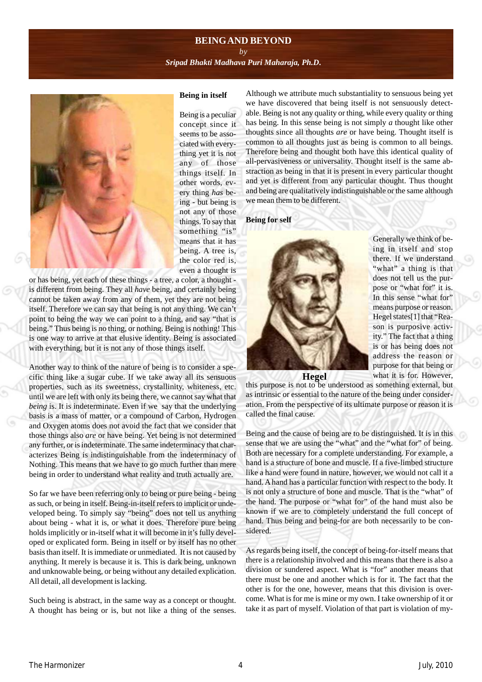## **BEING AND BEYOND**

*by [Sripad Bhakti Madhava Puri Maharaja, Ph.D](http://groups.google.co.in/group/Online_Sadhu_Sanga/web/affectionate-guardians)***.**



#### **Being in itself**

Being is a peculiar concept since it seems to be associated with everything yet it is not any of those things itself. In other words, every thing *has* being - but being is not any of those things. To say that something "is" means that it has being. A tree is, the color red is, even a thought is

or has being, yet each of these things - a tree, a color, a thought is different from being. They all *have* being, and certainly being cannot be taken away from any of them, yet they are not being itself. Therefore we can say that being is not any thing. We can't point to being the way we can point to a thing, and say "that is being." Thus being is no thing, or nothing. Being is nothing! This is one way to arrive at that elusive identity. Being is associated with everything, but it is not any of those things itself.

Another way to think of the nature of being is to consider a specific thing like a sugar cube. If we take away all its sensuous properties, such as its sweetness, crystallinity, whiteness, etc. until we are left with only its being there, we cannot say what that *being* is. It is indeterminate. Even if we say that the underlying basis is a mass of matter, or a compound of Carbon, Hydrogen and Oxygen atoms does not avoid the fact that we consider that those things also *are* or have being. Yet being is not determined any further, or is indeterminate. The same indeterminacy that characterizes Being is indistinguishable from the indeterminacy of Nothing. This means that we have to go much further than mere being in order to understand what reality and truth actually are.

So far we have been referring only to being or pure being - being as such, or being in itself. Being-in-itself refers to implicit or undeveloped being. To simply say "being" does not tell us anything about being - what it is, or what it does. Therefore pure being holds implicitly or in-itself what it will become in it's fully developed or explicated form. Being in itself or by itself has no other basis than itself. It is immediate or unmediated. It is not caused by anything. It merely is because it is. This is dark being, unknown and unknowable being, or being without any detailed explication. All detail, all development is lacking.

Such being is abstract, in the same way as a concept or thought. A thought has being or is, but not like a thing of the senses. Although we attribute much substantiality to sensuous being yet we have discovered that being itself is not sensuously detectable. Being is not any quality or thing, while every quality or thing has being. In this sense being is not simply *a* thought like other thoughts since all thoughts *are* or have being. Thought itself is common to all thoughts just as being is common to all beings. Therefore being and thought both have this identical quality of all-pervasiveness or universality. Thought itself is the same abstraction as being in that it is present in every particular thought and yet is different from any particular thought. Thus thought and being are qualitatively indistinguishable or the same although we mean them to be different.

### **Being for self**



Generally we think of being in itself and stop there. If we understand "what" a thing is that does not tell us the purpose or "what for" it is. In this sense "what for" means purpose or reason. Hegel states[1] that "Reason is purposive activity." The fact that a thing is or has being does not address the reason or purpose for that being or what it is for. However,



this purpose is not to be understood as something external, but as intrinsic or essential to the nature of the being under consideration. From the perspective of its ultimate purpose or reason it is called the final cause.

Being and the cause of being are to be distinguished. It is in this sense that we are using the "what" and the "what for" of being. Both are necessary for a complete understanding. For example, a hand is a structure of bone and muscle. If a five-limbed structure like a hand were found in nature, however, we would not call it a hand. A hand has a particular function with respect to the body. It is not only a structure of bone and muscle. That is the "what" of the hand. The purpose or "what for" of the hand must also be known if we are to completely understand the full concept of hand. Thus being and being-for are both necessarily to be considered.

As regards being itself, the concept of being-for-itself means that there is a relationship involved and this means that there is also a division or sundered aspect. What is "for" another means that there must be one and another which is for it. The fact that the other is for the one, however, means that this division is overcome. What is for me is mine or my own. I take ownership of it or take it as part of myself. Violation of that part is violation of my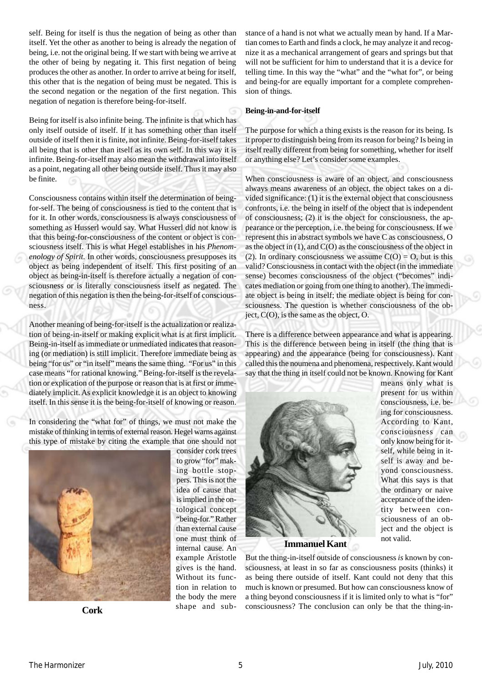self. Being for itself is thus the negation of being as other than itself. Yet the other as another to being is already the negation of being, i.e. not the original being. If we start with being we arrive at the other of being by negating it. This first negation of being produces the other as another. In order to arrive at being for itself, this other that is the negation of being must be negated. This is the second negation or the negation of the first negation. This negation of negation is therefore being-for-itself.

Being for itself is also infinite being. The infinite is that which has only itself outside of itself. If it has something other than itself outside of itself then it is finite, not infinite. Being-for-itself takes all being that is other than itself as its own self. In this way it is infinite. Being-for-itself may also mean the withdrawal into itself as a point, negating all other being outside itself. Thus it may also be finite.

Consciousness contains within itself the determination of beingfor-self. The being of consciousness is tied to the content that is for it. In other words, consciousness is always consciousness of something as Husserl would say. What Husserl did not know is that this being-for-consciousness of the content or object is consciousness itself. This is what Hegel establishes in his *Phenomenology of Spirit.* In other words, consciousness presupposes its object as being independent of itself. This first positing of an object as being-in-itself is therefore actually a negation of consciousness or is literally consciousness itself as negated. The negation of this negation is then the being-for-itself of consciousness.

Another meaning of being-for-itself is the actualization or realization of being-in-itself or making explicit what is at first implicit. Being-in-itself as immediate or unmediated indicates that reasoning (or mediation) is still implicit. Therefore immediate being as being "for us" or "in itself" means the same thing. "For us" in this case means "for rational knowing." Being-for-itself is the revelation or explication of the purpose or reason that is at first or immediately implicit. As explicit knowledge it is an object to knowing itself. In this sense it is the being-for-itself of knowing or reason.

In considering the "what for" of things, we must not make the mistake of thinking in terms of external reason. Hegel warns against this type of mistake by citing the example that one should not



consider cork trees to grow "for" making bottle stoppers. This is not the idea of cause that is implied in the ontological concept "being-for." Rather than external cause one must think of internal cause. An example Aristotle gives is the hand. Without its function in relation to the body the mere shape and substance of a hand is not what we actually mean by hand. If a Martian comes to Earth and finds a clock, he may analyze it and recognize it as a mechanical arrangement of gears and springs but that will not be sufficient for him to understand that it is a device for telling time. In this way the "what" and the "what for", or being and being-for are equally important for a complete comprehension of things.

#### **Being-in-and-for-itself**

The purpose for which a thing exists is the reason for its being. Is it proper to distinguish being from its reason for being? Is being in itself really different from being for something, whether for itself or anything else? Let's consider some examples.

When consciousness is aware of an object, and consciousness always means awareness of an object, the object takes on a divided significance: (1) it is the external object that consciousness confronts, i.e. the being in itself of the object that is independent of consciousness; (2) it is the object for consciousness, the appearance or the perception, i.e. the being for consciousness. If we represent this in abstract symbols we have C as consciousness, O as the object in (1), and C(O) as the consciousness of the object in (2). In ordinary consciousness we assume  $C(O) = O$ , but is this valid? Consciousness in contact with the object (in the immediate sense) becomes consciousness of the object ("becomes" indicates mediation or going from one thing to another). The immediate object is being in itself; the mediate object is being for consciousness. The question is whether consciousness of the object, C(O), is the same as the object, O.

There is a difference between appearance and what is appearing. This is the difference between being in itself (the thing that is appearing) and the appearance (being for consciousness). Kant called this the noumena and phenomena, respectively. Kant would say that the thing in itself could not be known. Knowing for Kant

> means only what is present for us within consciousness, i.e. being for consciousness. According to Kant, consciousness can only know being for itself, while being in itself is away and beyond consciousness. What this says is that the ordinary or naive acceptance of the identity between consciousness of an object and the object is

not valid.



**Immanuel Kant**

But the thing-in-itself outside of consciousness *is* known by consciousness, at least in so far as consciousness posits (thinks) it as being there outside of itself. Kant could not deny that this much is known or presumed. But how can consciousness know of a thing beyond consciousness if it is limited only to what is "for" consciousness? The conclusion can only be that the thing-in